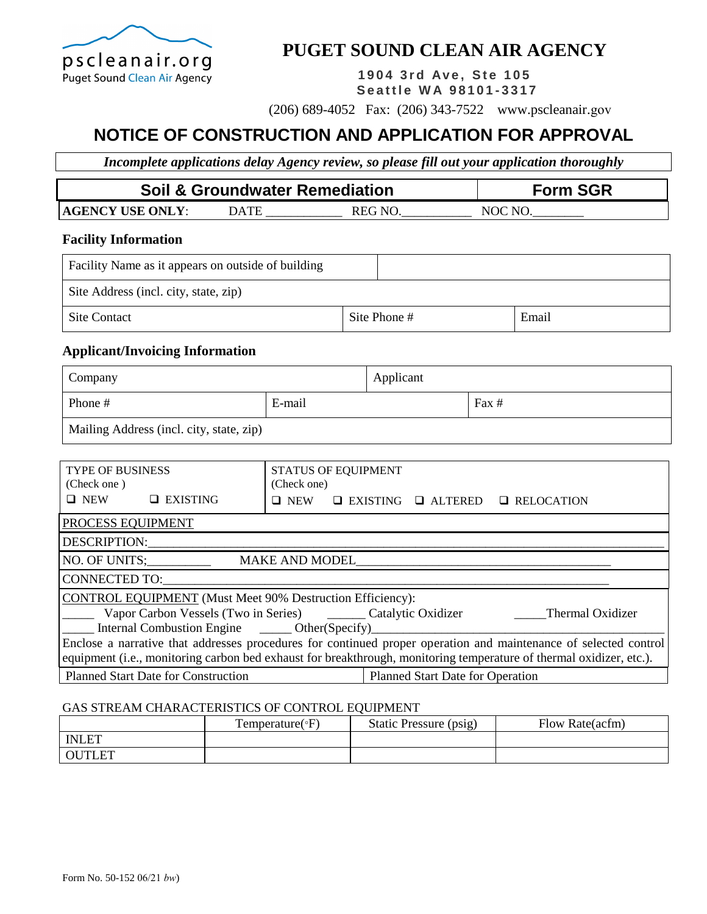

## **PUGET SOUND CLEAN AIR AGENCY**

**1 9 0 4 3 r d Av e , St e 1 0 5 Se a ttl e W A 9 8 1 0 1 - 3317** 

(206) 689-4052 Fax: (206) 343-7522 www.pscleanair.gov

# **NOTICE OF CONSTRUCTION AND APPLICATION FOR APPROVAL**

*Incomplete applications delay Agency review, so please fill out your application thoroughly*

| <b>Soil &amp; Groundwater Remediation</b> |             |        | <b>Form SGR</b> |
|-------------------------------------------|-------------|--------|-----------------|
| <b>AGENCY USE ONLY:</b>                   | <b>)ATE</b> | REG NO | NOC NC          |

#### **Facility Information**

| Facility Name as it appears on outside of building |              |       |
|----------------------------------------------------|--------------|-------|
| Site Address (incl. city, state, zip)              |              |       |
| <b>Site Contact</b>                                | Site Phone # | Email |

### **Applicant/Invoicing Information**

| Company                                  |  | Applicant |       |
|------------------------------------------|--|-----------|-------|
| E-mail<br>Phone #                        |  |           | Fax # |
| Mailing Address (incl. city, state, zip) |  |           |       |

| <b>TYPE OF BUSINESS</b><br>(Check one)                                                                                                                                                                                                                                                                             |                 | (Check one) | <b>STATUS OF EQUIPMENT</b> |                                  |                   |  |
|--------------------------------------------------------------------------------------------------------------------------------------------------------------------------------------------------------------------------------------------------------------------------------------------------------------------|-----------------|-------------|----------------------------|----------------------------------|-------------------|--|
| $\Box$ NEW                                                                                                                                                                                                                                                                                                         | $\Box$ EXISTING | $\Box$ NEW  | $\Box$ EXISTING            | <b>Q</b> ALTERED                 | $\Box$ RELOCATION |  |
| <b>PROCESS EQUIPMENT</b>                                                                                                                                                                                                                                                                                           |                 |             |                            |                                  |                   |  |
| DESCRIPTION:                                                                                                                                                                                                                                                                                                       |                 |             |                            |                                  |                   |  |
| NO. OF UNITS;<br><b>MAKE AND MODEL</b>                                                                                                                                                                                                                                                                             |                 |             |                            |                                  |                   |  |
| CONNECTED TO:                                                                                                                                                                                                                                                                                                      |                 |             |                            |                                  |                   |  |
| CONTROL EQUIPMENT (Must Meet 90% Destruction Efficiency):<br>Vapor Carbon Vessels (Two in Series) Catalytic Oxidizer<br>Thermal Oxidizer<br>Internal Combustion Engine _______ Other(Specify)_<br>Enclose a narrative that addresses procedures for continued proper operation and maintenance of selected control |                 |             |                            |                                  |                   |  |
| equipment (i.e., monitoring carbon bed exhaust for breakthrough, monitoring temperature of thermal oxidizer, etc.).                                                                                                                                                                                                |                 |             |                            |                                  |                   |  |
| <b>Planned Start Date for Construction</b>                                                                                                                                                                                                                                                                         |                 |             |                            | Planned Start Date for Operation |                   |  |

#### GAS STREAM CHARACTERISTICS OF CONTROL EQUIPMENT

|               | Temperature( $\mathrm{P}F$ ) | Static Pressure (psig) | Flow Rate(acfm) |
|---------------|------------------------------|------------------------|-----------------|
| <b>INLET</b>  |                              |                        |                 |
| <b>OUTLET</b> |                              |                        |                 |